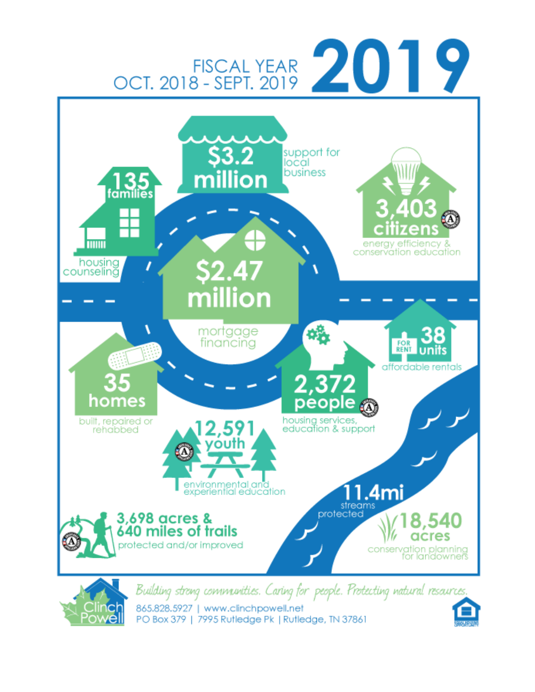



865.828.5927 | www.clinchpowell.net PO Box 379 | 7995 Rufledge Pk | Rufledge, TN 37861

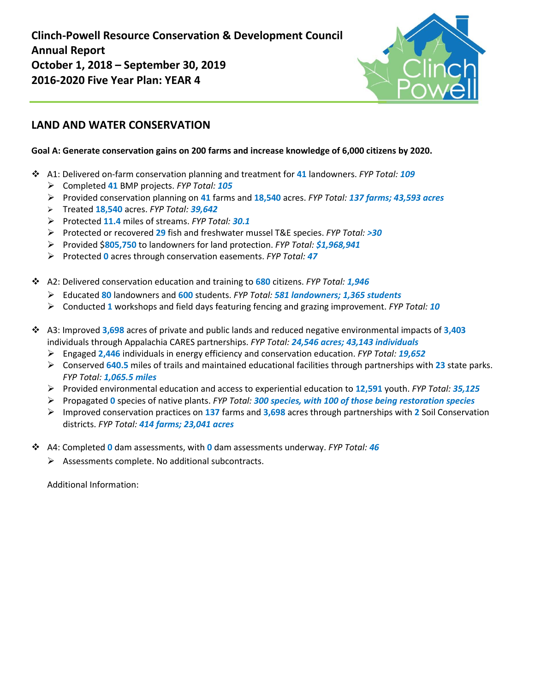**Clinch-Powell Resource Conservation & Development Council Annual Report October 1, 2018 – September 30, 2019 2016-2020 Five Year Plan: YEAR 4**



## **LAND AND WATER CONSERVATION**

#### **Goal A: Generate conservation gains on 200 farms and increase knowledge of 6,000 citizens by 2020.**

- A1: Delivered on-farm conservation planning and treatment for **41** landowners. *FYP Total: 109*
	- Completed **41** BMP projects. *FYP Total: 105*
	- Provided conservation planning on **41** farms and **18,540** acres. *FYP Total: 137 farms; 43,593 acres*
	- Treated **18,540** acres. *FYP Total: 39,642*
	- Protected **11.4** miles of streams. *FYP Total: 30.1*
	- Protected or recovered **29** fish and freshwater mussel T&E species. *FYP Total: >30*
	- Provided \$**805,750** to landowners for land protection. *FYP Total: \$1,968,941*
	- Protected **0** acres through conservation easements. *FYP Total: 47*
- A2: Delivered conservation education and training to **680** citizens. *FYP Total: 1,946* 
	- Educated **80** landowners and **600** students. *FYP Total: 581 landowners; 1,365 students*
	- Conducted **1** workshops and field days featuring fencing and grazing improvement. *FYP Total: 10*
- A3: Improved **3,698** acres of private and public lands and reduced negative environmental impacts of **3,403** individuals through Appalachia CARES partnerships. *FYP Total: 24,546 acres; 43,143 individuals*
	- Engaged **2,446** individuals in energy efficiency and conservation education. *FYP Total: 19,652*
	- Conserved **640.5** miles of trails and maintained educational facilities through partnerships with **23** state parks. *FYP Total: 1,065.5 miles*
	- Provided environmental education and access to experiential education to **12,591** youth. *FYP Total: 35,125*
	- Propagated **0** species of native plants. *FYP Total: 300 species, with 100 of those being restoration species*
	- Improved conservation practices on **137** farms and **3,698** acres through partnerships with **2** Soil Conservation districts. *FYP Total: 414 farms; 23,041 acres*
- A4: Completed **0** dam assessments, with **0** dam assessments underway. *FYP Total: 46*
	- Assessments complete. No additional subcontracts.

Additional Information: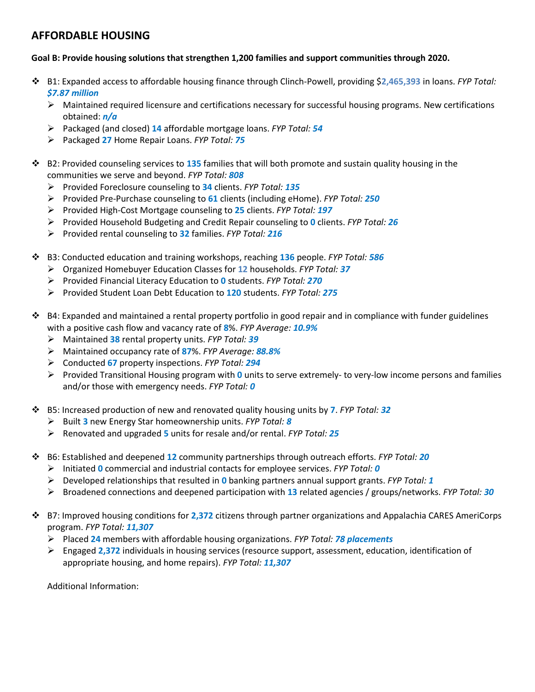## **AFFORDABLE HOUSING**

#### **Goal B: Provide housing solutions that strengthen 1,200 families and support communities through 2020.**

- B1: Expanded access to affordable housing finance through Clinch-Powell, providing \$**2,465,393** in loans. *FYP Total: \$7.87 million*
	- $\triangleright$  Maintained required licensure and certifications necessary for successful housing programs. New certifications obtained: *n/a*
	- Packaged (and closed) **14** affordable mortgage loans. *FYP Total: 54*
	- Packaged **27** Home Repair Loans. *FYP Total: 75*
- B2: Provided counseling services to **135** families that will both promote and sustain quality housing in the communities we serve and beyond. *FYP Total: 808* 
	- Provided Foreclosure counseling to **34** clients. *FYP Total: 135*
	- Provided Pre-Purchase counseling to **61** clients (including eHome). *FYP Total: 250*
	- Provided High-Cost Mortgage counseling to **25** clients. *FYP Total: 197*
	- Provided Household Budgeting and Credit Repair counseling to **0** clients. *FYP Total: 26*
	- Provided rental counseling to **32** families. *FYP Total: 216*
- B3: Conducted education and training workshops, reaching **136** people. *FYP Total: 586* 
	- Organized Homebuyer Education Classes for **12** households. *FYP Total: 37*
	- Provided Financial Literacy Education to **0** students. *FYP Total: 270*
	- Provided Student Loan Debt Education to **120** students. *FYP Total: 275*
- $\div$  B4: Expanded and maintained a rental property portfolio in good repair and in compliance with funder guidelines with a positive cash flow and vacancy rate of **8**%. *FYP Average: 10.9%* 
	- Maintained **38** rental property units. *FYP Total: 39*
	- Maintained occupancy rate of **87**%. *FYP Average: 88.8%*
	- Conducted **67** property inspections. *FYP Total: 294*
	- Provided Transitional Housing program with **0** units to serve extremely- to very-low income persons and families and/or those with emergency needs. *FYP Total: 0*
- B5: Increased production of new and renovated quality housing units by **7**. *FYP Total: 32* 
	- Built **3** new Energy Star homeownership units. *FYP Total: 8*
	- Renovated and upgraded **5** units for resale and/or rental. *FYP Total: 25*
- B6: Established and deepened **12** community partnerships through outreach efforts. *FYP Total: 20* 
	- Initiated **0** commercial and industrial contacts for employee services. *FYP Total: 0*
	- Developed relationships that resulted in **0** banking partners annual support grants. *FYP Total: 1*
	- Broadened connections and deepened participation with **13** related agencies / groups/networks. *FYP Total: 30*
- B7: Improved housing conditions for **2,372** citizens through partner organizations and Appalachia CARES AmeriCorps program. *FYP Total: 11,307* 
	- Placed **24** members with affordable housing organizations. *FYP Total: 78 placements*
	- Engaged **2,372** individuals in housing services (resource support, assessment, education, identification of appropriate housing, and home repairs). *FYP Total: 11,307*

Additional Information: